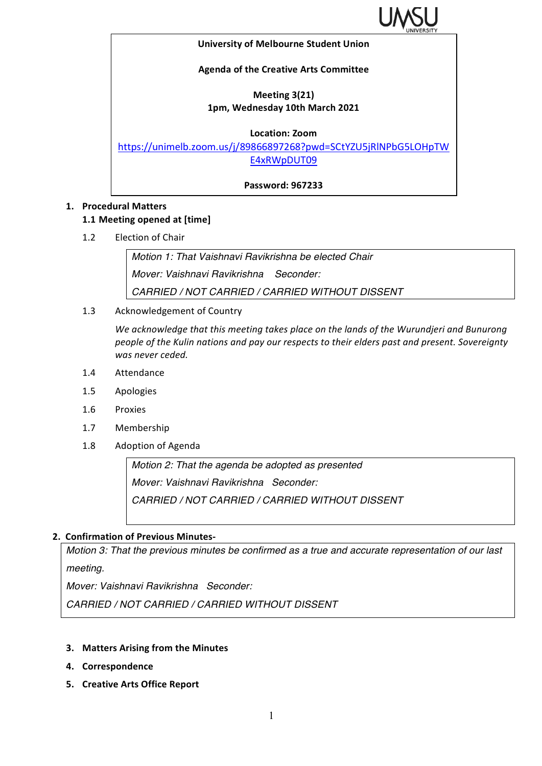

#### **University of Melbourne Student Union**

#### **Agenda of the Creative Arts Committee**

## **Meeting 3(21) 1pm, Wednesday 10th March 2021**

#### **Location: Zoom**

https://unimelb.zoom.us/j/89866897268?pwd=SCtYZU5jRlNPbG5LOHpTW E4xRWpDUT09

**Password: 967233**

## **1. Procedural Matters**

#### **1.1 Meeting opened at [time]**

1.2 Election of Chair

*Motion 1: That Vaishnavi Ravikrishna be elected Chair Mover: Vaishnavi Ravikrishna Seconder: CARRIED / NOT CARRIED / CARRIED WITHOUT DISSENT*

1.3 Acknowledgement of Country

We acknowledge that this meeting takes place on the lands of the Wurundjeri and Bunurong *people of the Kulin nations and pay our respects to their elders past and present. Sovereignty* was never ceded.

- 1.4 Attendance
- 1.5 Apologies
- 1.6 Proxies
- 1.7 Membership
- 1.8 Adoption of Agenda

*Motion 2: That the agenda be adopted as presented Mover: Vaishnavi Ravikrishna Seconder: CARRIED / NOT CARRIED / CARRIED WITHOUT DISSENT*

#### **2. Confirmation of Previous Minutes-**

*Motion 3: That the previous minutes be confirmed as a true and accurate representation of our last meeting.*

*Mover: Vaishnavi Ravikrishna Seconder:* 

*CARRIED / NOT CARRIED / CARRIED WITHOUT DISSENT*

- **3. Matters Arising from the Minutes**
- **4. Correspondence**
- **5. Creative Arts Office Report**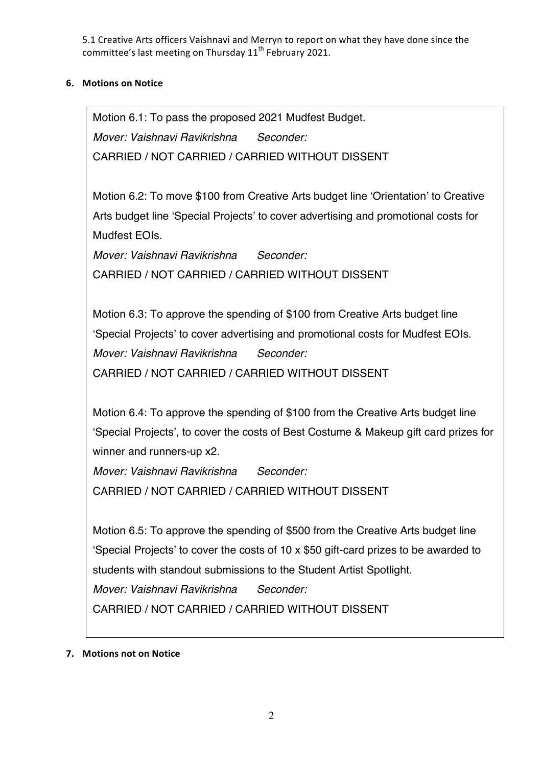5.1 Creative Arts officers Vaishnavi and Merryn to report on what they have done since the committee's last meeting on Thursday 11<sup>th</sup> February 2021.

# **6. Motions on Notice**

Motion 6.1: To pass the proposed 2021 Mudfest Budget. *Mover: Vaishnavi Ravikrishna Seconder:* CARRIED / NOT CARRIED / CARRIED WITHOUT DISSENT

Motion 6.2: To move \$100 from Creative Arts budget line 'Orientation' to Creative Arts budget line 'Special Projects' to cover advertising and promotional costs for Mudfest EOIs.

*Mover: Vaishnavi Ravikrishna Seconder:* CARRIED / NOT CARRIED / CARRIED WITHOUT DISSENT

Motion 6.3: To approve the spending of \$100 from Creative Arts budget line 'Special Projects' to cover advertising and promotional costs for Mudfest EOIs. *Mover: Vaishnavi Ravikrishna Seconder:* CARRIED / NOT CARRIED / CARRIED WITHOUT DISSENT

Motion 6.4: To approve the spending of \$100 from the Creative Arts budget line 'Special Projects', to cover the costs of Best Costume & Makeup gift card prizes for winner and runners-up x2.

*Mover: Vaishnavi Ravikrishna Seconder:* CARRIED / NOT CARRIED / CARRIED WITHOUT DISSENT

Motion 6.5: To approve the spending of \$500 from the Creative Arts budget line 'Special Projects' to cover the costs of 10 x \$50 gift-card prizes to be awarded to students with standout submissions to the Student Artist Spotlight. *Mover: Vaishnavi Ravikrishna Seconder:* CARRIED / NOT CARRIED / CARRIED WITHOUT DISSENT

**7.** Motions not on Notice